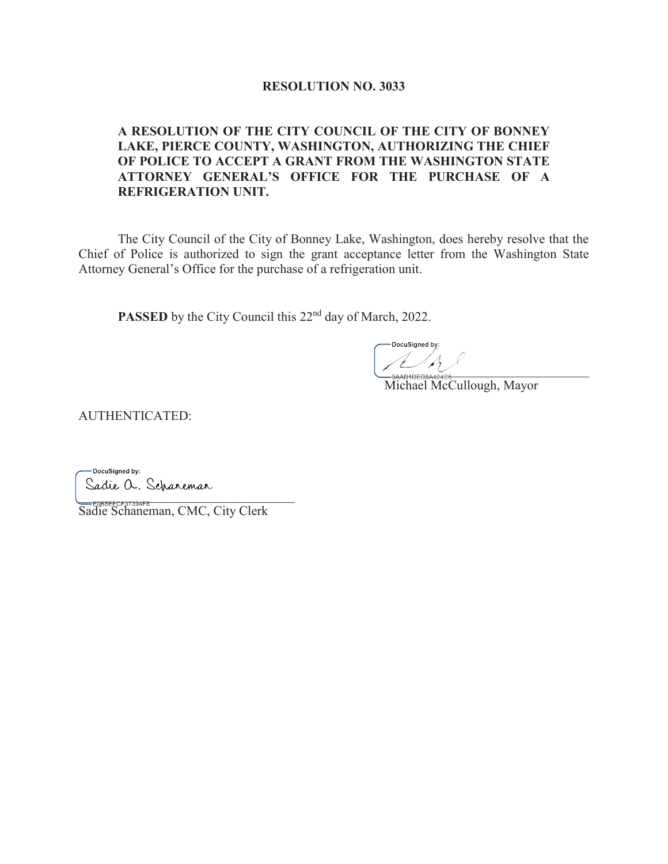#### **RESOLUTION NO. 3033**

### **A RESOLUTION OF THE CITY COUNCIL OF THE CITY OF BONNEY LAKE, PIERCE COUNTY, WASHINGTON, AUTHORIZING THE CHIEF OF POLICE TO ACCEPT A GRANT FROM THE WASHINGTON STATE ATTORNEY GENERAL'S OFFICE FOR THE PURCHASE OF A REFRIGERATION UNIT.**

The City Council of the City of Bonney Lake, Washington, does hereby resolve that the Chief of Police is authorized to sign the grant acceptance letter from the Washington State Attorney General's Office for the purchase of a refrigeration unit.

**PASSED** by the City Council this 22<sup>nd</sup> day of March, 2022.

 $L/A$ 

Michael McCullough, Mayor

AUTHENTICATED:

-DocuSigned by:  $\blacksquare$ 

Sadie Schaneman, CMC, City Clerk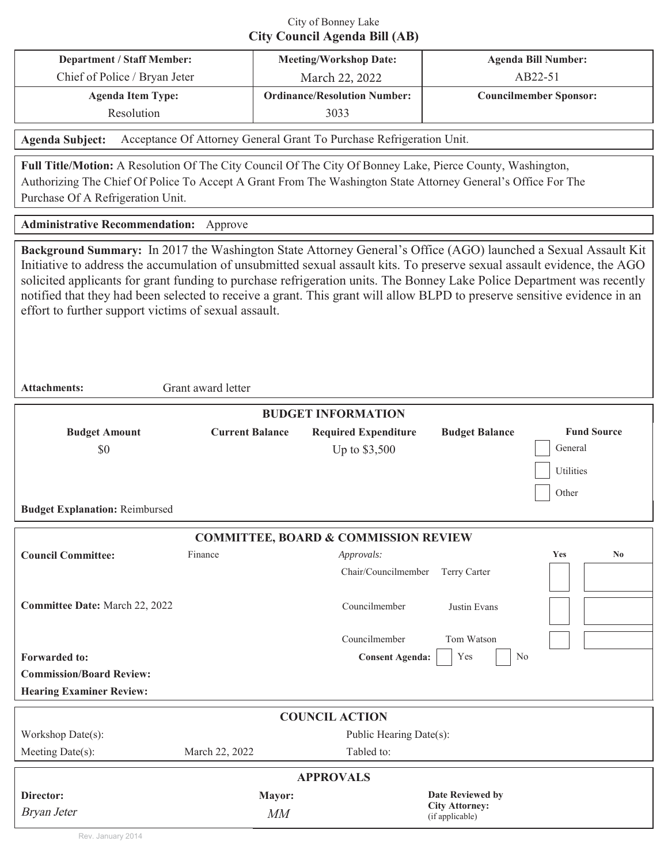## City of Bonney Lake **City Council Agenda Bill (AB)**

| <b>Department / Staff Member:</b> | <b>Meeting/Workshop Date:</b>       | <b>Agenda Bill Number:</b>    |  |
|-----------------------------------|-------------------------------------|-------------------------------|--|
| Chief of Police / Bryan Jeter     | March 22, 2022                      | AB22-51                       |  |
| <b>Agenda Item Type:</b>          | <b>Ordinance/Resolution Number:</b> | <b>Councilmember Sponsor:</b> |  |
| Resolution                        | 3033                                |                               |  |
|                                   |                                     |                               |  |

Agenda Subject: Acceptance Of Attorney General Grant To Purchase Refrigeration Unit.

Full Title/Motion: A Resolution Of The City Council Of The City Of Bonney Lake, Pierce County, Washington, Authorizing The Chief Of Police To Accept A Grant From The Washington State Attorney General's Office For The Purchase Of A Refrigeration Unit.

**Administrative Recommendation:** Approve

**Background Summary:** In 2017 the Washington State Attorney General's Office (AGO) launched a Sexual Assault Kit Initiative to address the accumulation of unsubmitted sexual assault kits. To preserve sexual assault evidence, the AGO solicited applicants for grant funding to purchase refrigeration units. The Bonney Lake Police Department was recently notified that they had been selected to receive a grant. This grant will allow BLPD to preserve sensitive evidence in an effort to further support victims of sexual assault.

**Attachments:** Grant award letter

| <b>BUDGET INFORMATION</b>                       |                        |                             |                                          |                               |  |  |
|-------------------------------------------------|------------------------|-----------------------------|------------------------------------------|-------------------------------|--|--|
| <b>Budget Amount</b>                            | <b>Current Balance</b> | <b>Required Expenditure</b> | <b>Budget Balance</b>                    | <b>Fund Source</b>            |  |  |
| \$0                                             |                        | Up to \$3,500               |                                          | General                       |  |  |
|                                                 |                        |                             |                                          | Utilities                     |  |  |
|                                                 |                        |                             |                                          | Other                         |  |  |
| <b>Budget Explanation: Reimbursed</b>           |                        |                             |                                          |                               |  |  |
| <b>COMMITTEE, BOARD &amp; COMMISSION REVIEW</b> |                        |                             |                                          |                               |  |  |
| <b>Council Committee:</b>                       | Finance                | Approvals:                  |                                          | $\mathbf{N}\mathbf{0}$<br>Yes |  |  |
|                                                 |                        | Chair/Councilmember         | Terry Carter                             |                               |  |  |
| Committee Date: March 22, 2022                  |                        | Councilmember               | Justin Evans                             |                               |  |  |
|                                                 |                        |                             |                                          |                               |  |  |
|                                                 |                        | Councilmember               | Tom Watson                               |                               |  |  |
| <b>Forwarded to:</b>                            |                        | <b>Consent Agenda:</b>      | N <sub>o</sub><br>Yes                    |                               |  |  |
| <b>Commission/Board Review:</b>                 |                        |                             |                                          |                               |  |  |
| <b>Hearing Examiner Review:</b>                 |                        |                             |                                          |                               |  |  |
| <b>COUNCIL ACTION</b>                           |                        |                             |                                          |                               |  |  |
| Workshop Date(s):                               |                        | Public Hearing Date(s):     |                                          |                               |  |  |
| Meeting Date(s):                                | March 22, 2022         | Tabled to:                  |                                          |                               |  |  |
| <b>APPROVALS</b>                                |                        |                             |                                          |                               |  |  |
| Director:                                       | Mayor:                 |                             | <b>Date Reviewed by</b>                  |                               |  |  |
| Bryan Jeter                                     | MM                     |                             | <b>City Attorney:</b><br>(if applicable) |                               |  |  |

Rev. January 2014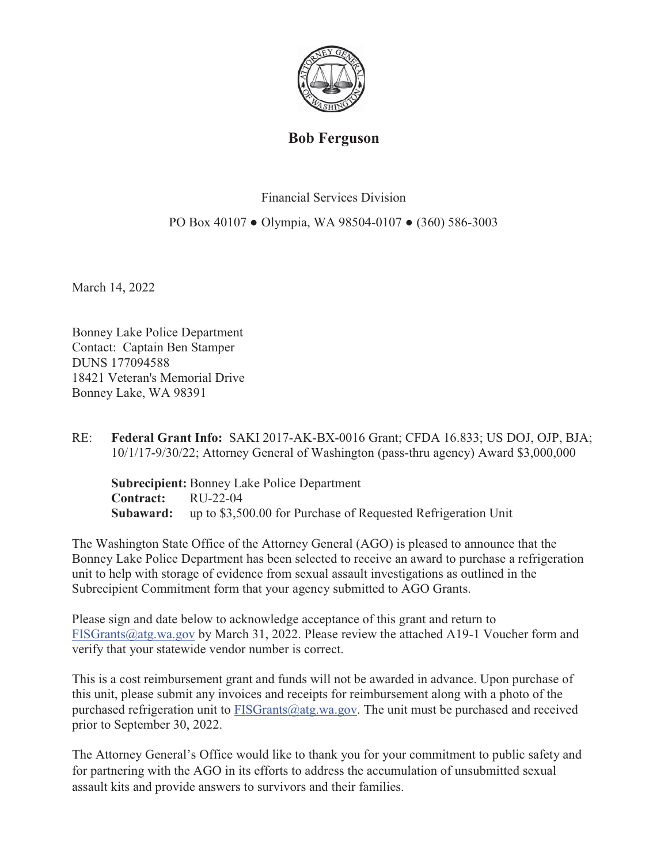

# **Bob Ferguson**

Financial Services Division

PO Box 40107 • Olympia, WA 98504-0107 • (360) 586-3003

March 14, 2022

Bonney Lake Police Department Contact: Captain Ben Stamper DUNS 177094588 18421 Veteran's Memorial Drive Bonney Lake, WA 98391

RE: Federal Grant Info: SAKI 2017-AK-BX-0016 Grant; CFDA 16.833; US DOJ, OJP, BJA;  $10/1/17-9/30/22$ ; Attorney General of Washington (pass-thru agency) Award \$3,000,000

**Subrecipient:** Bonney Lake Police Department **Contract:** RU-22-04 **Subaward:** up to \$3,500.00 for Purchase of Requested Refrigeration Unit

The Washington State Office of the Attorney General (AGO) is pleased to announce that the Bonney Lake Police Department has been selected to receive an award to purchase a refrigeration unit to help with storage of evidence from sexual assault investigations as outlined in the Subrecipient Commitment form that your agency submitted to AGO Grants.

Please sign and date below to acknowledge acceptance of this grant and return to FISGrants@atg.wa.gov by March 31, 2022. Please review the attached A19-1 Voucher form and verify that your statewide vendor number is correct.

This is a cost reimbursement grant and funds will not be awarded in advance. Upon purchase of this unit, please submit any invoices and receipts for reimbursement along with a photo of the purchased refrigeration unit to  $FISGrants@atg.wa.gov$ . The unit must be purchased and received prior to September 30, 2022.

The Attorney General's Office would like to thank you for your commitment to public safety and for partnering with the AGO in its efforts to address the accumulation of unsubmitted sexual assault kits and provide answers to survivors and their families.